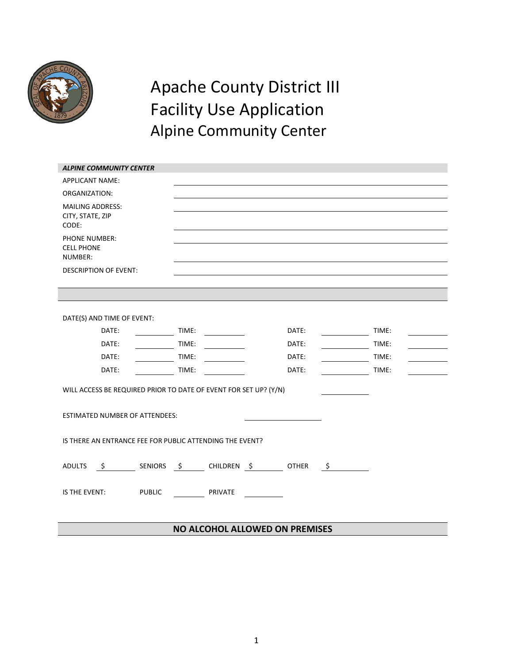

# Apache County District III Facility Use Application Alpine Community Center

| <b>ALPINE COMMUNITY CENTER</b>                                   |                        |                    |       |  |  |  |  |
|------------------------------------------------------------------|------------------------|--------------------|-------|--|--|--|--|
| <b>APPLICANT NAME:</b>                                           |                        |                    |       |  |  |  |  |
| ORGANIZATION:                                                    |                        |                    |       |  |  |  |  |
| <b>MAILING ADDRESS:</b><br>CITY, STATE, ZIP<br>CODE:             |                        |                    |       |  |  |  |  |
| PHONE NUMBER:<br><b>CELL PHONE</b><br>NUMBER:                    |                        |                    |       |  |  |  |  |
| <b>DESCRIPTION OF EVENT:</b>                                     |                        |                    |       |  |  |  |  |
|                                                                  |                        |                    |       |  |  |  |  |
|                                                                  |                        |                    |       |  |  |  |  |
| DATE(S) AND TIME OF EVENT:                                       |                        |                    |       |  |  |  |  |
| DATE:                                                            | TIME:                  | DATE:              | TIME: |  |  |  |  |
| DATE:                                                            | TIME:                  | DATE:              | TIME: |  |  |  |  |
| DATE:                                                            | TIME:                  | DATE:              | TIME: |  |  |  |  |
| DATE:                                                            | TIME:                  | DATE:              | TIME: |  |  |  |  |
| WILL ACCESS BE REQUIRED PRIOR TO DATE OF EVENT FOR SET UP? (Y/N) |                        |                    |       |  |  |  |  |
| ESTIMATED NUMBER OF ATTENDEES:                                   |                        |                    |       |  |  |  |  |
| IS THERE AN ENTRANCE FEE FOR PUBLIC ATTENDING THE EVENT?         |                        |                    |       |  |  |  |  |
| <b>ADULTS</b><br>\$                                              | SENIORS \$ CHILDREN \$ | <b>OTHER</b><br>\$ |       |  |  |  |  |
| IS THE EVENT:<br><b>PUBLIC</b>                                   | PRIVATE                |                    |       |  |  |  |  |
|                                                                  |                        |                    |       |  |  |  |  |

#### **NO ALCOHOL ALLOWED ON PREMISES**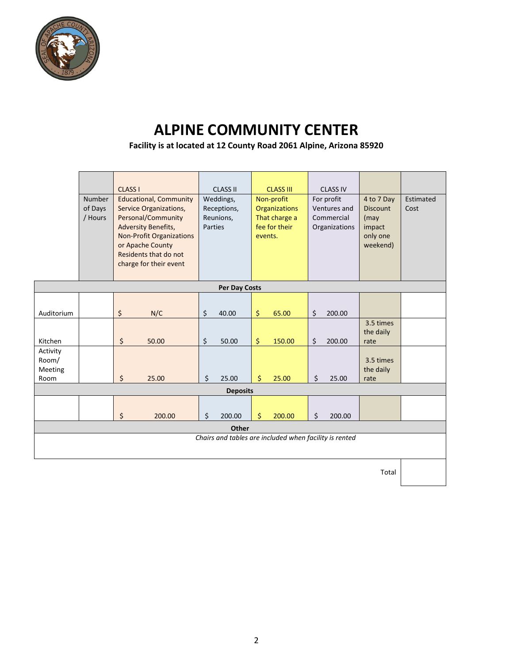

## **ALPINE COMMUNITY CENTER**

**Facility is at located at 12 County Road 2061 Alpine, Arizona 85920**

|                                                        | Number<br>of Days | <b>CLASS I</b><br><b>Educational, Community</b><br>Service Organizations,                                                                                  | <b>CLASS II</b><br>Weddings,<br>Receptions, | <b>CLASS III</b><br>Non-profit<br><b>Organizations</b> | <b>CLASS IV</b><br>For profit<br>Ventures and | 4 to 7 Day<br><b>Discount</b>          | Estimated<br>Cost |  |  |
|--------------------------------------------------------|-------------------|------------------------------------------------------------------------------------------------------------------------------------------------------------|---------------------------------------------|--------------------------------------------------------|-----------------------------------------------|----------------------------------------|-------------------|--|--|
|                                                        | / Hours           | Personal/Community<br><b>Adversity Benefits,</b><br><b>Non-Profit Organizations</b><br>or Apache County<br>Residents that do not<br>charge for their event | Reunions,<br>Parties                        | That charge a<br>fee for their<br>events.              | Commercial<br>Organizations                   | (may<br>impact<br>only one<br>weekend) |                   |  |  |
|                                                        |                   |                                                                                                                                                            | <b>Per Day Costs</b>                        |                                                        |                                               |                                        |                   |  |  |
| Auditorium                                             |                   | \$<br>N/C                                                                                                                                                  | \$<br>40.00                                 | \$<br>65.00                                            | \$<br>200.00                                  |                                        |                   |  |  |
| Kitchen                                                |                   | \$<br>50.00                                                                                                                                                | \$<br>50.00                                 | \$<br>150.00                                           | \$<br>200.00                                  | 3.5 times<br>the daily<br>rate         |                   |  |  |
| Activity<br>Room/<br>Meeting<br>Room                   |                   | \$<br>25.00                                                                                                                                                | \$<br>25.00                                 | \$<br>25.00                                            | \$<br>25.00                                   | 3.5 times<br>the daily<br>rate         |                   |  |  |
| <b>Deposits</b>                                        |                   |                                                                                                                                                            |                                             |                                                        |                                               |                                        |                   |  |  |
|                                                        |                   | \$<br>200.00                                                                                                                                               | \$<br>200.00                                | \$<br>200.00                                           | \$<br>200.00                                  |                                        |                   |  |  |
| Other                                                  |                   |                                                                                                                                                            |                                             |                                                        |                                               |                                        |                   |  |  |
| Chairs and tables are included when facility is rented |                   |                                                                                                                                                            |                                             |                                                        |                                               |                                        |                   |  |  |
|                                                        |                   |                                                                                                                                                            |                                             |                                                        |                                               |                                        |                   |  |  |

Total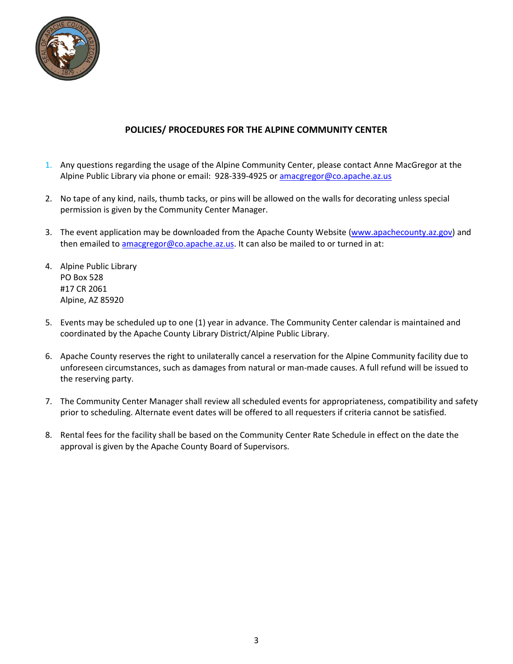

#### **POLICIES/ PROCEDURES FOR THE ALPINE COMMUNITY CENTER**

- 1. Any questions regarding the usage of the Alpine Community Center, please contact Anne MacGregor at the Alpine Public Library via phone or email: 928-339-4925 or [amacgregor@co.apache.az.us](mailto:amacgregor@co.apache.az.us)
- 2. No tape of any kind, nails, thumb tacks, or pins will be allowed on the walls for decorating unless special permission is given by the Community Center Manager.
- 3. The event application may be downloaded from the Apache County Website [\(www.apachecounty.az.gov\)](http://www.apachecounty.az.gov/) and then emailed t[o amacgregor@co.apache.az.us.](mailto:amacgregor@co.apache.az.us) It can also be mailed to or turned in at:
- 4. Alpine Public Library PO Box 528 #17 CR 2061 Alpine, AZ 85920
- 5. Events may be scheduled up to one (1) year in advance. The Community Center calendar is maintained and coordinated by the Apache County Library District/Alpine Public Library.
- 6. Apache County reserves the right to unilaterally cancel a reservation for the Alpine Community facility due to unforeseen circumstances, such as damages from natural or man-made causes. A full refund will be issued to the reserving party.
- 7. The Community Center Manager shall review all scheduled events for appropriateness, compatibility and safety prior to scheduling. Alternate event dates will be offered to all requesters if criteria cannot be satisfied.
- 8. Rental fees for the facility shall be based on the Community Center Rate Schedule in effect on the date the approval is given by the Apache County Board of Supervisors.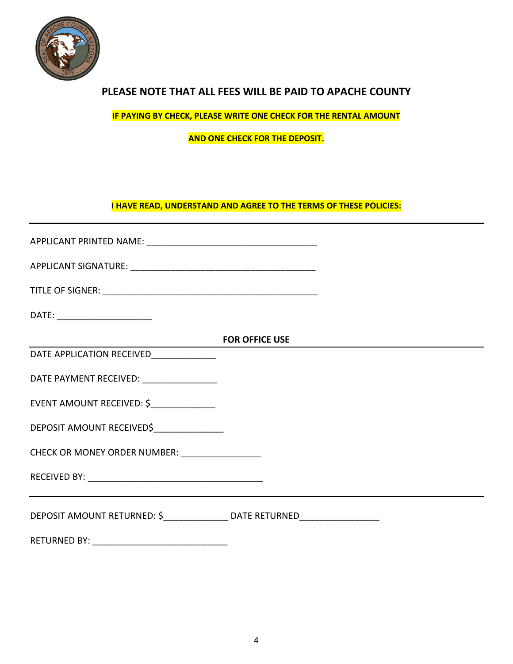

### **PLEASE NOTE THAT ALL FEES WILL BE PAID TO APACHE COUNTY**

**IF PAYING BY CHECK, PLEASE WRITE ONE CHECK FOR THE RENTAL AMOUNT**

**AND ONE CHECK FOR THE DEPOSIT.**

**I HAVE READ, UNDERSTAND AND AGREE TO THE TERMS OF THESE POLICIES:**

|                                                                                   | <b>FOR OFFICE USE</b> |  |
|-----------------------------------------------------------------------------------|-----------------------|--|
| DATE APPLICATION RECEIVED______________                                           |                       |  |
| DATE PAYMENT RECEIVED: ___________________                                        |                       |  |
| EVENT AMOUNT RECEIVED: \$                                                         |                       |  |
| DEPOSIT AMOUNT RECEIVED\$_______________                                          |                       |  |
| CHECK OR MONEY ORDER NUMBER: _________________                                    |                       |  |
|                                                                                   |                       |  |
| DEPOSIT AMOUNT RETURNED: \$_________________ DATE RETURNED_______________________ |                       |  |
|                                                                                   |                       |  |